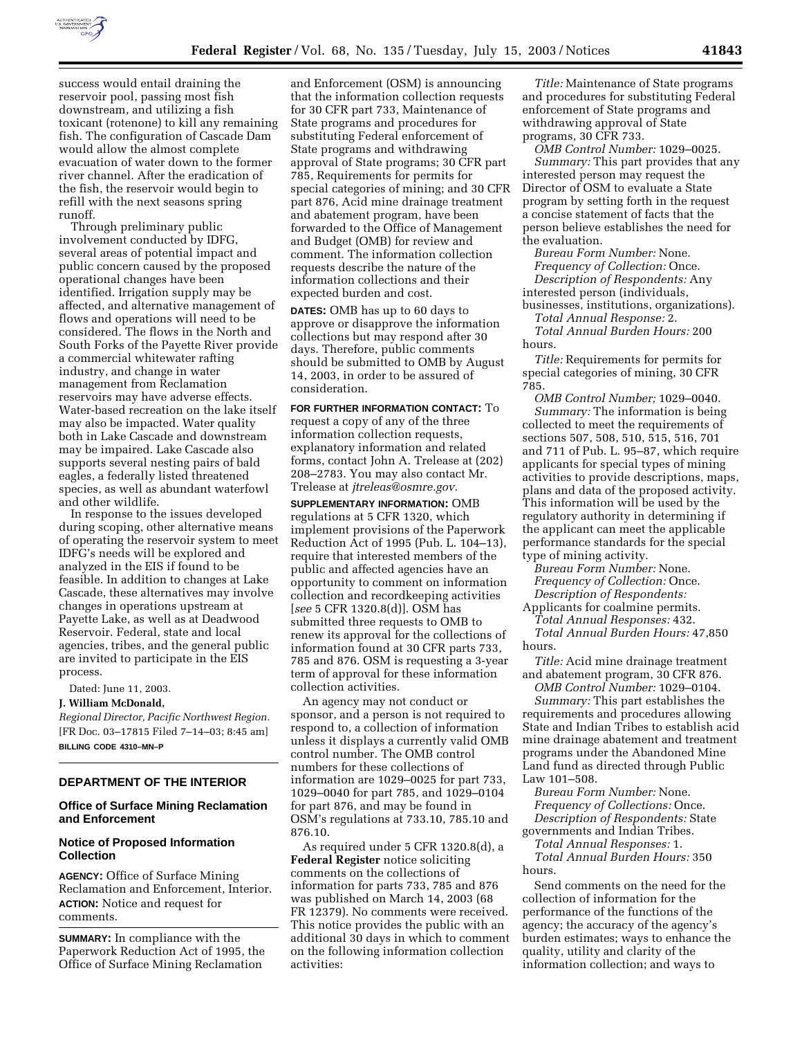

success would entail draining the reservoir pool, passing most fish downstream, and utilizing a fish toxicant (rotenone) to kill any remaining fish. The configuration of Cascade Dam would allow the almost complete evacuation of water down to the former river channel. After the eradication of the fish, the reservoir would begin to refill with the next seasons spring runoff.

Through preliminary public involvement conducted by IDFG, several areas of potential impact and public concern caused by the proposed operational changes have been identified. Irrigation supply may be affected, and alternative management of flows and operations will need to be considered. The flows in the North and South Forks of the Payette River provide a commercial whitewater rafting industry, and change in water management from Reclamation reservoirs may have adverse effects. Water-based recreation on the lake itself may also be impacted. Water quality both in Lake Cascade and downstream may be impaired. Lake Cascade also supports several nesting pairs of bald eagles, a federally listed threatened species, as well as abundant waterfowl and other wildlife.

In response to the issues developed during scoping, other alternative means of operating the reservoir system to meet IDFG's needs will be explored and analyzed in the EIS if found to be feasible. In addition to changes at Lake Cascade, these alternatives may involve changes in operations upstream at Payette Lake, as well as at Deadwood Reservoir. Federal, state and local agencies, tribes, and the general public are invited to participate in the EIS process.

Dated: June 11, 2003.

#### **J. William McDonald,**

*Regional Director, Pacific Northwest Region.* [FR Doc. 03–17815 Filed 7–14–03; 8:45 am] **BILLING CODE 4310–MN–P**

### **DEPARTMENT OF THE INTERIOR**

# **Office of Surface Mining Reclamation and Enforcement**

# **Notice of Proposed Information Collection**

**AGENCY:** Office of Surface Mining Reclamation and Enforcement, Interior. **ACTION:** Notice and request for comments.

**SUMMARY:** In compliance with the Paperwork Reduction Act of 1995, the Office of Surface Mining Reclamation

and Enforcement (OSM) is announcing that the information collection requests for 30 CFR part 733, Maintenance of State programs and procedures for substituting Federal enforcement of State programs and withdrawing approval of State programs; 30 CFR part 785, Requirements for permits for special categories of mining; and 30 CFR part 876, Acid mine drainage treatment and abatement program, have been forwarded to the Office of Management and Budget (OMB) for review and comment. The information collection requests describe the nature of the information collections and their expected burden and cost.

**DATES:** OMB has up to 60 days to approve or disapprove the information collections but may respond after 30 days. Therefore, public comments should be submitted to OMB by August 14, 2003, in order to be assured of consideration.

**FOR FURTHER INFORMATION CONTACT:** To request a copy of any of the three information collection requests, explanatory information and related forms, contact John A. Trelease at (202) 208–2783. You may also contact Mr. Trelease at *jtreleas@osmre.gov.*

**SUPPLEMENTARY INFORMATION:** OMB regulations at 5 CFR 1320, which implement provisions of the Paperwork Reduction Act of 1995 (Pub. L. 104–13), require that interested members of the public and affected agencies have an opportunity to comment on information collection and recordkeeping activities [*see* 5 CFR 1320.8(d)]. OSM has submitted three requests to OMB to renew its approval for the collections of information found at 30 CFR parts 733, 785 and 876. OSM is requesting a 3-year term of approval for these information collection activities.

An agency may not conduct or sponsor, and a person is not required to respond to, a collection of information unless it displays a currently valid OMB control number. The OMB control numbers for these collections of information are 1029–0025 for part 733, 1029–0040 for part 785, and 1029–0104 for part 876, and may be found in OSM's regulations at 733.10, 785.10 and 876.10.

As required under 5 CFR 1320.8(d), a **Federal Register** notice soliciting comments on the collections of information for parts 733, 785 and 876 was published on March 14, 2003 (68 FR 12379). No comments were received. This notice provides the public with an additional 30 days in which to comment on the following information collection activities:

*Title:* Maintenance of State programs and procedures for substituting Federal enforcement of State programs and withdrawing approval of State programs, 30 CFR 733.

*OMB Control Number:* 1029–0025. *Summary:* This part provides that any interested person may request the Director of OSM to evaluate a State program by setting forth in the request a concise statement of facts that the person believe establishes the need for the evaluation.

*Bureau Form Number:* None. *Frequency of Collection:* Once. *Description of Respondents:* Any interested person (individuals, businesses, institutions, organizations).

*Total Annual Response:* 2. *Total Annual Burden Hours:* 200 hours.

*Title:* Requirements for permits for special categories of mining, 30 CFR 785.

*OMB Control Number;* 1029–0040. *Summary:* The information is being collected to meet the requirements of sections 507, 508, 510, 515, 516, 701 and 711 of Pub. L. 95–87, which require applicants for special types of mining activities to provide descriptions, maps, plans and data of the proposed activity. This information will be used by the regulatory authority in determining if the applicant can meet the applicable performance standards for the special type of mining activity.

*Bureau Form Number:* None. *Frequency of Collection:* Once. *Description of Respondents:*

Applicants for coalmine permits.

*Total Annual Responses:* 432. *Total Annual Burden Hours:* 47,850 hours.

*Title:* Acid mine drainage treatment and abatement program, 30 CFR 876.

*OMB Control Number:* 1029–0104. *Summary:* This part establishes the requirements and procedures allowing State and Indian Tribes to establish acid mine drainage abatement and treatment programs under the Abandoned Mine Land fund as directed through Public Law 101–508.

*Bureau Form Number:* None. *Frequency of Collections:* Once. *Description of Respondents:* State governments and Indian Tribes.

*Total Annual Responses:* 1.

*Total Annual Burden Hours:* 350 hours.

Send comments on the need for the collection of information for the performance of the functions of the agency; the accuracy of the agency's burden estimates; ways to enhance the quality, utility and clarity of the information collection; and ways to